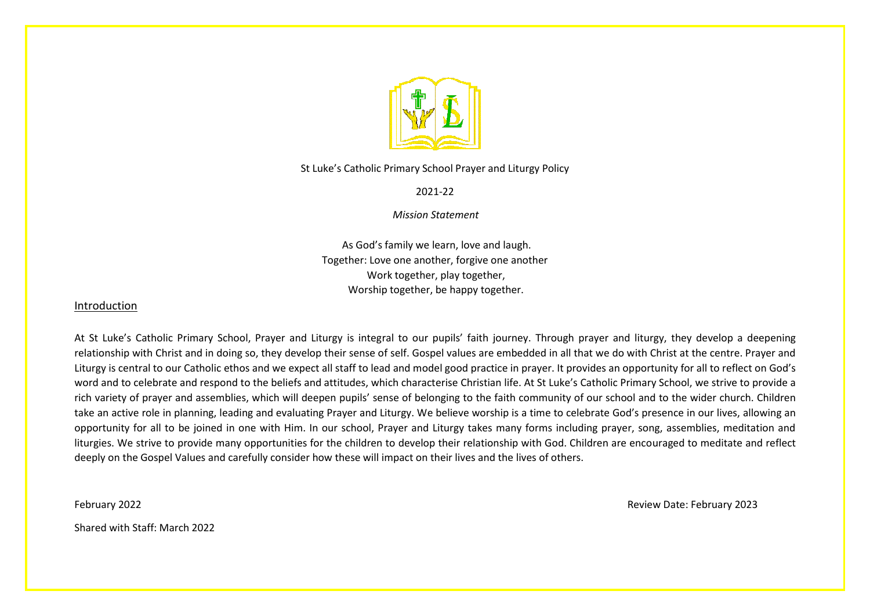

St Luke's Catholic Primary School Prayer and Liturgy Policy

2021-22

 *Mission Statement*

As God's family we learn, love and laugh. Together: Love one another, forgive one another Work together, play together, Worship together, be happy together.

# Introduction

At St Luke's Catholic Primary School, Prayer and Liturgy is integral to our pupils' faith journey. Through prayer and liturgy, they develop a deepening relationship with Christ and in doing so, they develop their sense of self. Gospel values are embedded in all that we do with Christ at the centre. Prayer and Liturgy is central to our Catholic ethos and we expect all staff to lead and model good practice in prayer. It provides an opportunity for all to reflect on God's word and to celebrate and respond to the beliefs and attitudes, which characterise Christian life. At St Luke's Catholic Primary School, we strive to provide a rich variety of prayer and assemblies, which will deepen pupils' sense of belonging to the faith community of our school and to the wider church. Children take an active role in planning, leading and evaluating Prayer and Liturgy. We believe worship is a time to celebrate God's presence in our lives, allowing an opportunity for all to be joined in one with Him. In our school, Prayer and Liturgy takes many forms including prayer, song, assemblies, meditation and liturgies. We strive to provide many opportunities for the children to develop their relationship with God. Children are encouraged to meditate and reflect deeply on the Gospel Values and carefully consider how these will impact on their lives and the lives of others.

February 2022 Review Date: February 2023

Shared with Staff: March 2022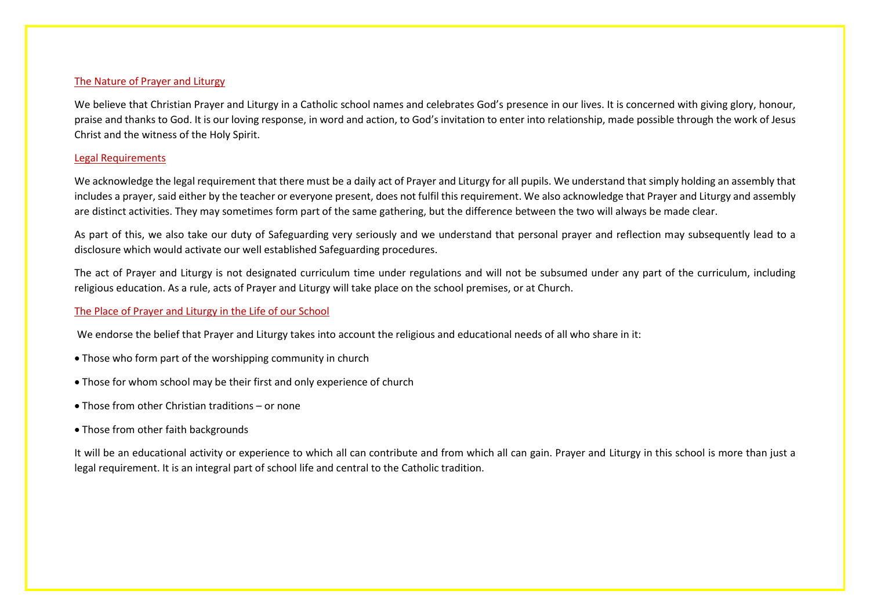#### The Nature of Prayer and Liturgy

We believe that Christian Prayer and Liturgy in a Catholic school names and celebrates God's presence in our lives. It is concerned with giving glory, honour, praise and thanks to God. It is our loving response, in word and action, to God's invitation to enter into relationship, made possible through the work of Jesus Christ and the witness of the Holy Spirit.

#### Legal Requirements

We acknowledge the legal requirement that there must be a daily act of Prayer and Liturgy for all pupils. We understand that simply holding an assembly that includes a prayer, said either by the teacher or everyone present, does not fulfil this requirement. We also acknowledge that Prayer and Liturgy and assembly are distinct activities. They may sometimes form part of the same gathering, but the difference between the two will always be made clear.

As part of this, we also take our duty of Safeguarding very seriously and we understand that personal prayer and reflection may subsequently lead to a disclosure which would activate our well established Safeguarding procedures.

The act of Prayer and Liturgy is not designated curriculum time under regulations and will not be subsumed under any part of the curriculum, including religious education. As a rule, acts of Prayer and Liturgy will take place on the school premises, or at Church.

#### The Place of Prayer and Liturgy in the Life of our School

We endorse the belief that Prayer and Liturgy takes into account the religious and educational needs of all who share in it:

- Those who form part of the worshipping community in church
- Those for whom school may be their first and only experience of church
- Those from other Christian traditions or none
- Those from other faith backgrounds

It will be an educational activity or experience to which all can contribute and from which all can gain. Prayer and Liturgy in this school is more than just a legal requirement. It is an integral part of school life and central to the Catholic tradition.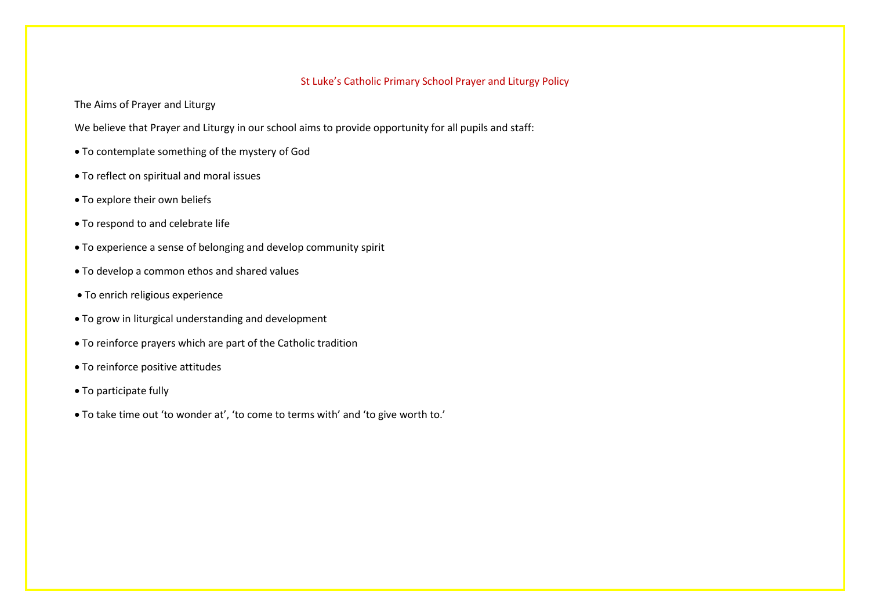# St Luke's Catholic Primary School Prayer and Liturgy Policy

The Aims of Prayer and Liturgy

We believe that Prayer and Liturgy in our school aims to provide opportunity for all pupils and staff:

- To contemplate something of the mystery of God
- To reflect on spiritual and moral issues
- To explore their own beliefs
- To respond to and celebrate life
- To experience a sense of belonging and develop community spirit
- To develop a common ethos and shared values
- To enrich religious experience
- To grow in liturgical understanding and development
- To reinforce prayers which are part of the Catholic tradition
- To reinforce positive attitudes
- To participate fully
- To take time out 'to wonder at', 'to come to terms with' and 'to give worth to.'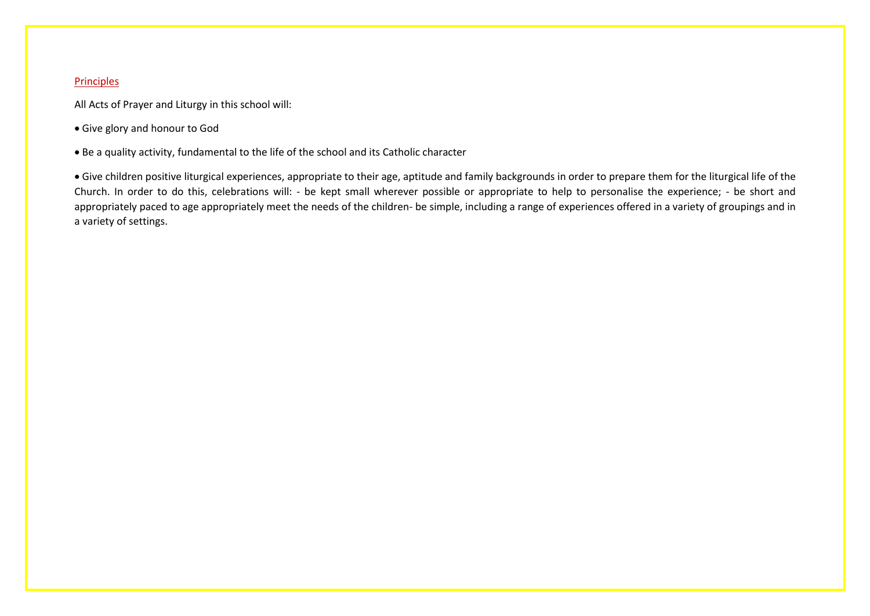## Principles

All Acts of Prayer and Liturgy in this school will:

- Give glory and honour to God
- Be a quality activity, fundamental to the life of the school and its Catholic character

 Give children positive liturgical experiences, appropriate to their age, aptitude and family backgrounds in order to prepare them for the liturgical life of the Church. In order to do this, celebrations will: - be kept small wherever possible or appropriate to help to personalise the experience; - be short and appropriately paced to age appropriately meet the needs of the children- be simple, including a range of experiences offered in a variety of groupings and in a variety of settings.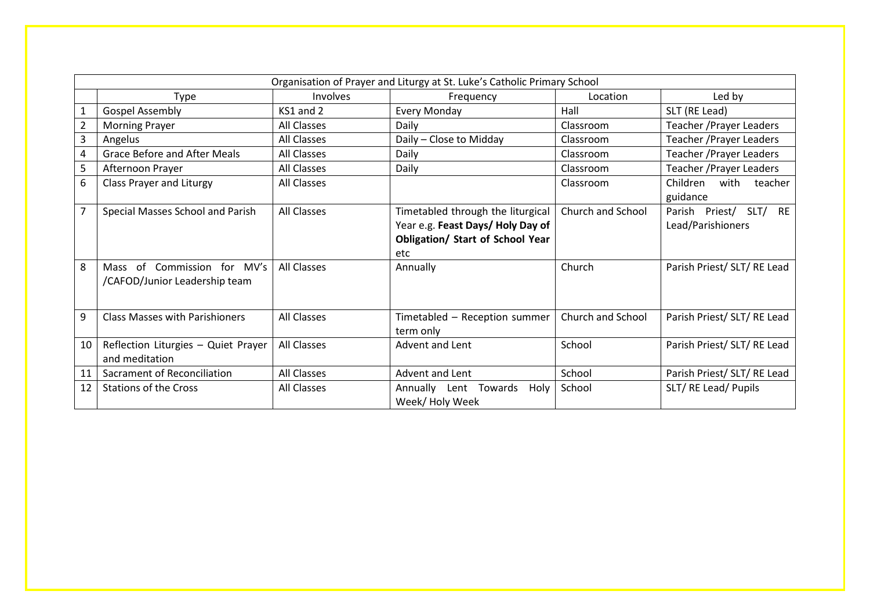| Organisation of Prayer and Liturgy at St. Luke's Catholic Primary School |                                                              |                    |                                                                                                                         |                   |                                                          |  |  |
|--------------------------------------------------------------------------|--------------------------------------------------------------|--------------------|-------------------------------------------------------------------------------------------------------------------------|-------------------|----------------------------------------------------------|--|--|
|                                                                          | Type                                                         | Involves           | Frequency                                                                                                               | Location          | Led by                                                   |  |  |
|                                                                          | <b>Gospel Assembly</b>                                       | $KS1$ and $2$      | <b>Every Monday</b>                                                                                                     | Hall              | SLT (RE Lead)                                            |  |  |
|                                                                          | <b>Morning Prayer</b>                                        | <b>All Classes</b> | Daily                                                                                                                   | Classroom         | Teacher / Prayer Leaders                                 |  |  |
| 3                                                                        | Angelus                                                      | All Classes        | Daily - Close to Midday                                                                                                 | Classroom         | Teacher / Prayer Leaders                                 |  |  |
| 4                                                                        | <b>Grace Before and After Meals</b>                          | <b>All Classes</b> | Daily                                                                                                                   | Classroom         | <b>Teacher / Prayer Leaders</b>                          |  |  |
| 5                                                                        | Afternoon Prayer                                             | All Classes        | Daily                                                                                                                   | Classroom         | Teacher / Prayer Leaders                                 |  |  |
| 6                                                                        | Class Prayer and Liturgy                                     | All Classes        |                                                                                                                         | Classroom         | Children<br>with<br>teacher<br>guidance                  |  |  |
| $\overline{ }$                                                           | Special Masses School and Parish                             | All Classes        | Timetabled through the liturgical<br>Year e.g. Feast Days/Holy Day of<br><b>Obligation/ Start of School Year</b><br>etc | Church and School | <b>RE</b><br>Parish Priest/<br>SLT/<br>Lead/Parishioners |  |  |
| 8                                                                        | Mass of Commission for MV's<br>/CAFOD/Junior Leadership team | All Classes        | Annually                                                                                                                | Church            | Parish Priest/ SLT/ RE Lead                              |  |  |
| 9                                                                        | <b>Class Masses with Parishioners</b>                        | All Classes        | Timetabled - Reception summer<br>term only                                                                              | Church and School | Parish Priest/ SLT/ RE Lead                              |  |  |
| 10                                                                       | Reflection Liturgies - Quiet Prayer<br>and meditation        | All Classes        | Advent and Lent                                                                                                         | School            | Parish Priest/ SLT/ RE Lead                              |  |  |
| 11                                                                       | Sacrament of Reconciliation                                  | <b>All Classes</b> | Advent and Lent                                                                                                         | School            | Parish Priest/ SLT/ RE Lead                              |  |  |
| 12                                                                       | <b>Stations of the Cross</b>                                 | All Classes        | Annually Lent Towards<br>Holy<br>Week/Holy Week                                                                         | School            | SLT/RE Lead/Pupils                                       |  |  |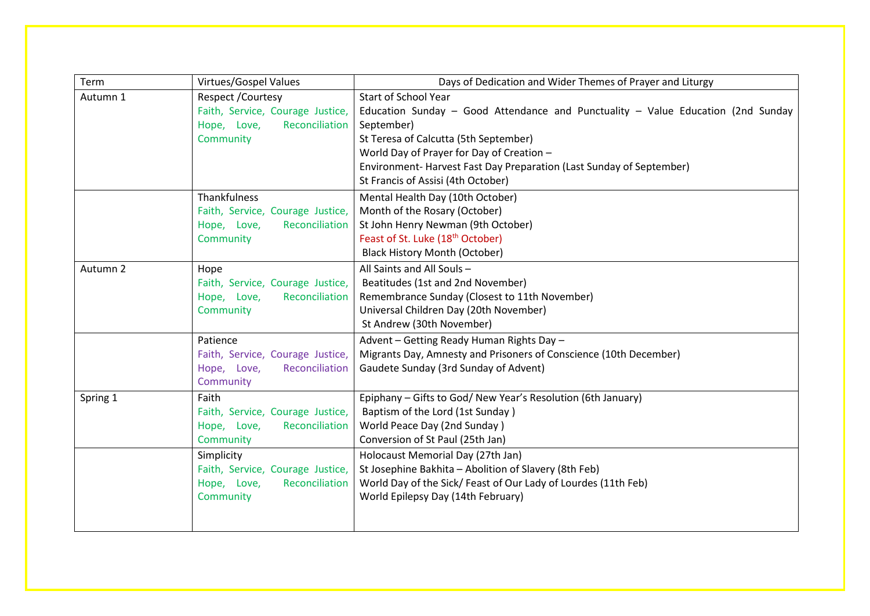| Term     | Virtues/Gospel Values                | Days of Dedication and Wider Themes of Prayer and Liturgy                        |
|----------|--------------------------------------|----------------------------------------------------------------------------------|
| Autumn 1 | Respect / Courtesy                   | <b>Start of School Year</b>                                                      |
|          | Faith, Service, Courage Justice,     | Education Sunday - Good Attendance and Punctuality - Value Education (2nd Sunday |
|          | Hope, Love,<br><b>Reconciliation</b> | September)                                                                       |
|          | Community                            | St Teresa of Calcutta (5th September)                                            |
|          |                                      | World Day of Prayer for Day of Creation -                                        |
|          |                                      | Environment-Harvest Fast Day Preparation (Last Sunday of September)              |
|          |                                      | St Francis of Assisi (4th October)                                               |
|          | Thankfulness                         | Mental Health Day (10th October)                                                 |
|          | Faith, Service, Courage Justice,     | Month of the Rosary (October)                                                    |
|          | Hope, Love,<br>Reconciliation        | St John Henry Newman (9th October)                                               |
|          | Community                            | Feast of St. Luke (18 <sup>th</sup> October)                                     |
|          |                                      | <b>Black History Month (October)</b>                                             |
| Autumn 2 | Hope                                 | All Saints and All Souls-                                                        |
|          | Faith, Service, Courage Justice,     | Beatitudes (1st and 2nd November)                                                |
|          | Hope, Love,<br>Reconciliation        | Remembrance Sunday (Closest to 11th November)                                    |
|          | Community                            | Universal Children Day (20th November)                                           |
|          |                                      | St Andrew (30th November)                                                        |
|          | Patience                             | Advent - Getting Ready Human Rights Day -                                        |
|          | Faith, Service, Courage Justice,     | Migrants Day, Amnesty and Prisoners of Conscience (10th December)                |
|          | Hope, Love,<br>Reconciliation        | Gaudete Sunday (3rd Sunday of Advent)                                            |
|          | Community                            |                                                                                  |
| Spring 1 | Faith                                | Epiphany - Gifts to God/ New Year's Resolution (6th January)                     |
|          | Faith, Service, Courage Justice,     | Baptism of the Lord (1st Sunday)                                                 |
|          | Hope, Love,<br>Reconciliation        | World Peace Day (2nd Sunday)                                                     |
|          | Community                            | Conversion of St Paul (25th Jan)                                                 |
|          | Simplicity                           | Holocaust Memorial Day (27th Jan)                                                |
|          | Faith, Service, Courage Justice,     | St Josephine Bakhita - Abolition of Slavery (8th Feb)                            |
|          | Hope, Love,<br>Reconciliation        | World Day of the Sick/ Feast of Our Lady of Lourdes (11th Feb)                   |
|          | Community                            | World Epilepsy Day (14th February)                                               |
|          |                                      |                                                                                  |
|          |                                      |                                                                                  |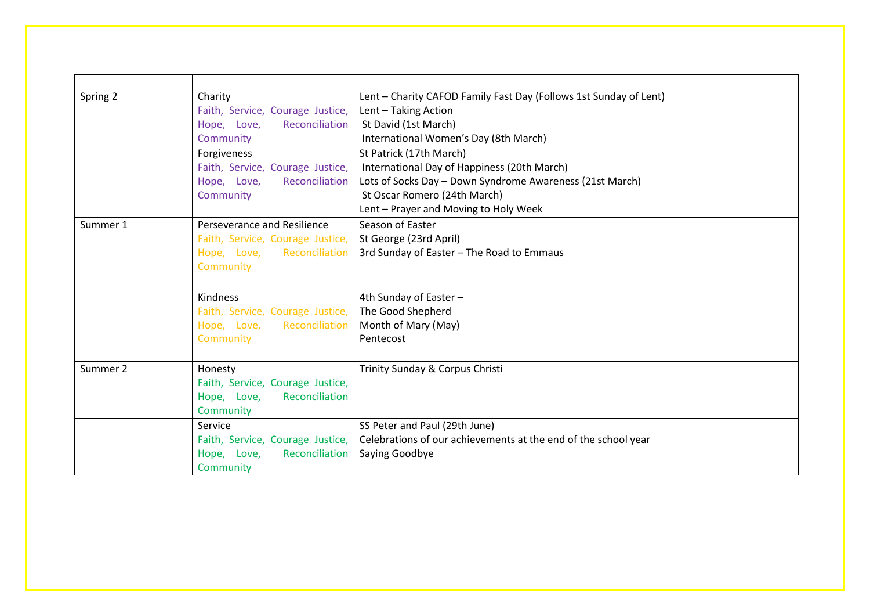| Spring 2 | Charity                          | Lent - Charity CAFOD Family Fast Day (Follows 1st Sunday of Lent) |
|----------|----------------------------------|-------------------------------------------------------------------|
|          | Faith, Service, Courage Justice, | Lent - Taking Action                                              |
|          | Reconciliation<br>Hope, Love,    | St David (1st March)                                              |
|          | Community                        | International Women's Day (8th March)                             |
|          | Forgiveness                      | St Patrick (17th March)                                           |
|          | Faith, Service, Courage Justice, | International Day of Happiness (20th March)                       |
|          | Reconciliation<br>Hope, Love,    | Lots of Socks Day - Down Syndrome Awareness (21st March)          |
|          | Community                        | St Oscar Romero (24th March)                                      |
|          |                                  | Lent - Prayer and Moving to Holy Week                             |
| Summer 1 | Perseverance and Resilience      | Season of Easter                                                  |
|          | Faith, Service, Courage Justice, | St George (23rd April)                                            |
|          | Reconciliation<br>Hope, Love,    | 3rd Sunday of Easter - The Road to Emmaus                         |
|          | Community                        |                                                                   |
|          |                                  |                                                                   |
|          | Kindness                         | 4th Sunday of Easter -                                            |
|          | Faith, Service, Courage Justice, | The Good Shepherd                                                 |
|          | Hope, Love, Reconciliation       | Month of Mary (May)                                               |
|          | Community                        | Pentecost                                                         |
|          |                                  |                                                                   |
| Summer 2 | Honesty                          | Trinity Sunday & Corpus Christi                                   |
|          | Faith, Service, Courage Justice, |                                                                   |
|          | Reconciliation<br>Hope, Love,    |                                                                   |
|          | Community                        |                                                                   |
|          | Service                          | SS Peter and Paul (29th June)                                     |
|          | Faith, Service, Courage Justice, | Celebrations of our achievements at the end of the school year    |
|          | Reconciliation<br>Hope, Love,    | Saying Goodbye                                                    |
|          | Community                        |                                                                   |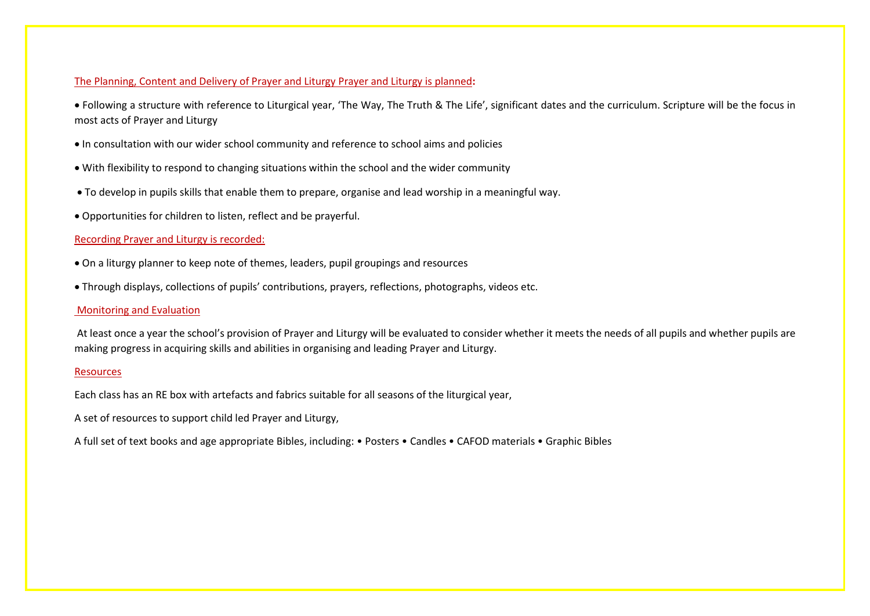### The Planning, Content and Delivery of Prayer and Liturgy Prayer and Liturgy is planned**:**

 Following a structure with reference to Liturgical year, 'The Way, The Truth & The Life', significant dates and the curriculum. Scripture will be the focus in most acts of Prayer and Liturgy

- In consultation with our wider school community and reference to school aims and policies
- With flexibility to respond to changing situations within the school and the wider community
- To develop in pupils skills that enable them to prepare, organise and lead worship in a meaningful way.
- Opportunities for children to listen, reflect and be prayerful.

### Recording Prayer and Liturgy is recorded:

- On a liturgy planner to keep note of themes, leaders, pupil groupings and resources
- Through displays, collections of pupils' contributions, prayers, reflections, photographs, videos etc.

#### Monitoring and Evaluation

At least once a year the school's provision of Prayer and Liturgy will be evaluated to consider whether it meets the needs of all pupils and whether pupils are making progress in acquiring skills and abilities in organising and leading Prayer and Liturgy.

#### Resources

Each class has an RE box with artefacts and fabrics suitable for all seasons of the liturgical year,

A set of resources to support child led Prayer and Liturgy,

A full set of text books and age appropriate Bibles, including: • Posters • Candles • CAFOD materials • Graphic Bibles